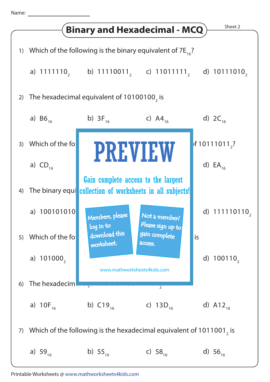